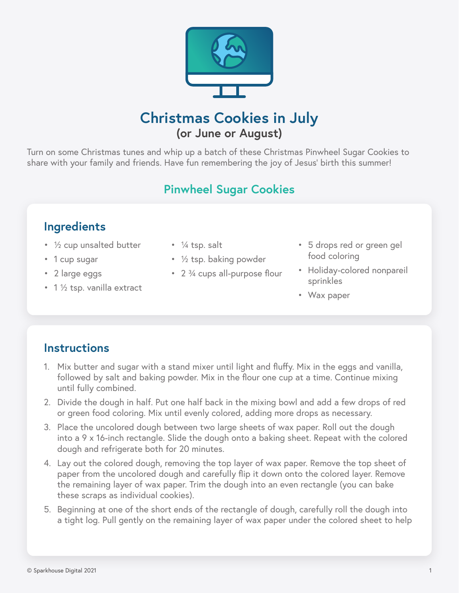

## **Christmas Cookies in July (or June or August)**

Turn on some Christmas tunes and whip up a batch of these Christmas Pinwheel Sugar Cookies to share with your family and friends. Have fun remembering the joy of Jesus' birth this summer!

## **Pinwheel Sugar Cookies**

## **Ingredients**

- ½ cup unsalted butter
- 1 cup sugar
- 2 large eggs
- 1 1/2 tsp. vanilla extract
- $\frac{1}{4}$  tsp. salt
- 1/2 tsp. baking powder
- 2 <sup>3</sup>/<sub>4</sub> cups all-purpose flour
- 5 drops red or green gel food coloring
- Holiday-colored nonpareil sprinkles
- Wax paper

## **Instructions**

- 1. Mix butter and sugar with a stand mixer until light and fluffy. Mix in the eggs and vanilla, followed by salt and baking powder. Mix in the flour one cup at a time. Continue mixing until fully combined.
- 2. Divide the dough in half. Put one half back in the mixing bowl and add a few drops of red or green food coloring. Mix until evenly colored, adding more drops as necessary.
- 3. Place the uncolored dough between two large sheets of wax paper. Roll out the dough into a 9 x 16-inch rectangle. Slide the dough onto a baking sheet. Repeat with the colored dough and refrigerate both for 20 minutes.
- 4. Lay out the colored dough, removing the top layer of wax paper. Remove the top sheet of paper from the uncolored dough and carefully flip it down onto the colored layer. Remove the remaining layer of wax paper. Trim the dough into an even rectangle (you can bake these scraps as individual cookies).
- 5. Beginning at one of the short ends of the rectangle of dough, carefully roll the dough into a tight log. Pull gently on the remaining layer of wax paper under the colored sheet to help